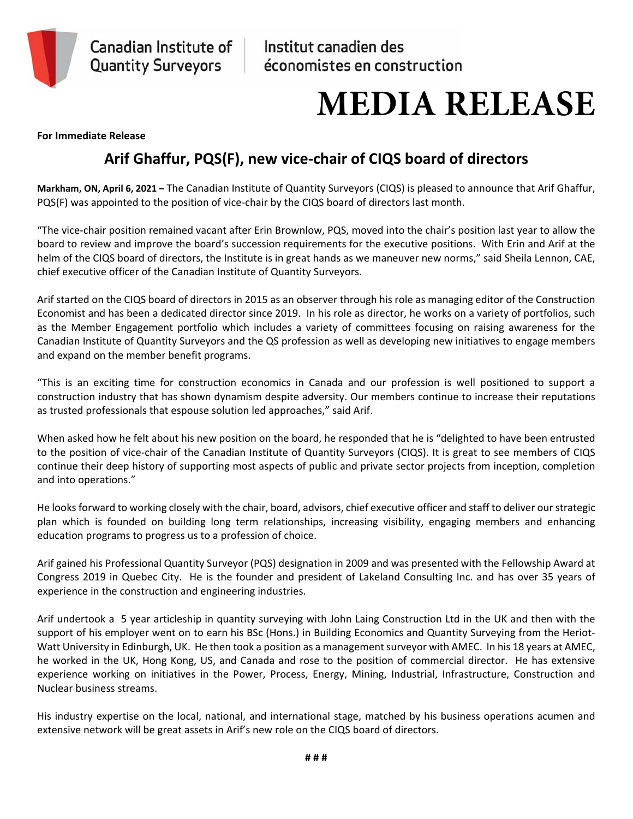

## **MEDIA RELEASE**

**For Immediate Release** 

## **Arif Ghaffur, PQS(F), new vice‐chair of CIQS board of directors**

**Markham, ON, April 6, 2021 –** The Canadian Institute of Quantity Surveyors (CIQS) is pleased to announce that Arif Ghaffur, PQS(F) was appointed to the position of vice-chair by the CIQS board of directors last month.

"The vice‐chair position remained vacant after Erin Brownlow, PQS, moved into the chair's position last year to allow the board to review and improve the board's succession requirements for the executive positions. With Erin and Arif at the helm of the CIQS board of directors, the Institute is in great hands as we maneuver new norms," said Sheila Lennon, CAE, chief executive officer of the Canadian Institute of Quantity Surveyors.

Arif started on the CIQS board of directors in 2015 as an observer through his role as managing editor of the Construction Economist and has been a dedicated director since 2019. In his role as director, he works on a variety of portfolios, such as the Member Engagement portfolio which includes a variety of committees focusing on raising awareness for the Canadian Institute of Quantity Surveyors and the QS profession as well as developing new initiatives to engage members and expand on the member benefit programs.

"This is an exciting time for construction economics in Canada and our profession is well positioned to support a construction industry that has shown dynamism despite adversity. Our members continue to increase their reputations as trusted professionals that espouse solution led approaches," said Arif.

When asked how he felt about his new position on the board, he responded that he is "delighted to have been entrusted to the position of vice‐chair of the Canadian Institute of Quantity Surveyors (CIQS). It is great to see members of CIQS continue their deep history of supporting most aspects of public and private sector projects from inception, completion and into operations."

He looks forward to working closely with the chair, board, advisors, chief executive officer and staff to deliver our strategic plan which is founded on building long term relationships, increasing visibility, engaging members and enhancing education programs to progress us to a profession of choice.

Arif gained his Professional Quantity Surveyor (PQS) designation in 2009 and was presented with the Fellowship Award at Congress 2019 in Quebec City. He is the founder and president of Lakeland Consulting Inc. and has over 35 years of experience in the construction and engineering industries.

Arif undertook a 5 year articleship in quantity surveying with John Laing Construction Ltd in the UK and then with the support of his employer went on to earn his BSc (Hons.) in Building Economics and Quantity Surveying from the Heriot‐ Watt University in Edinburgh, UK. He then took a position as a management surveyor with AMEC. In his 18 years at AMEC, he worked in the UK, Hong Kong, US, and Canada and rose to the position of commercial director. He has extensive experience working on initiatives in the Power, Process, Energy, Mining, Industrial, Infrastructure, Construction and Nuclear business streams.

His industry expertise on the local, national, and international stage, matched by his business operations acumen and extensive network will be great assets in Arif's new role on the CIQS board of directors.